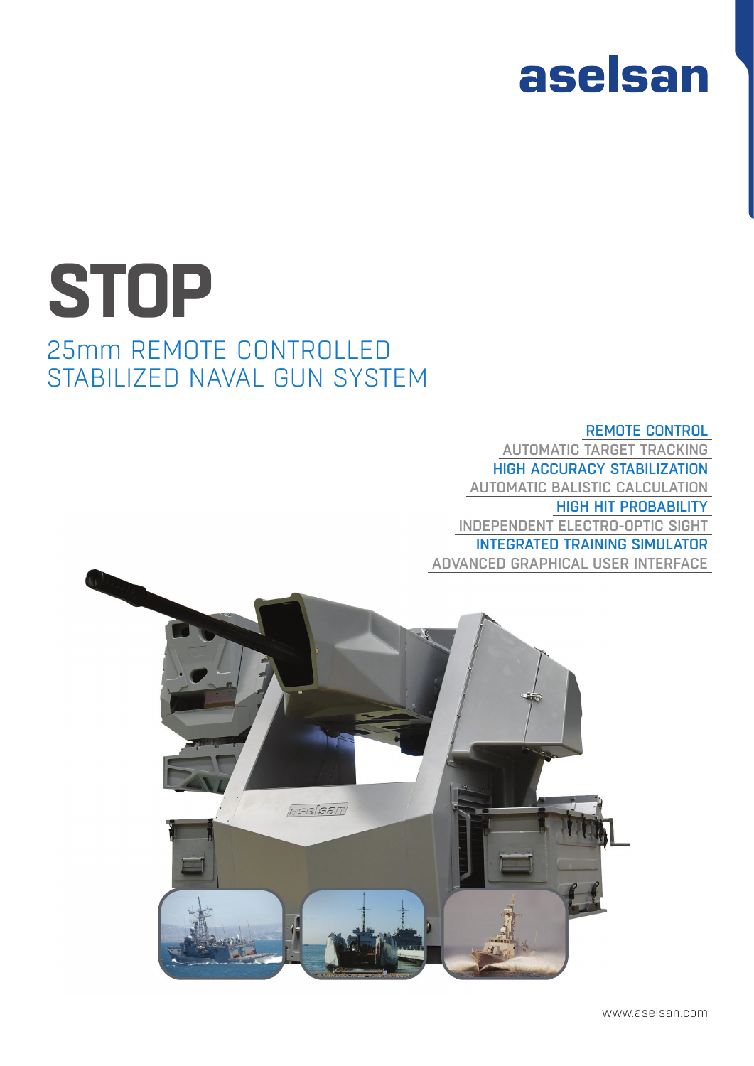## aselsan

## 25mm REMOTE CONTROLLED STABILIZED NAVAL GUN SYSTEM **STOP**

REMOTE CONTROL AUTOMATIC TARGET TRACKING HIGH ACCURACY STABILIZATION AUTOMATIC BALISTIC CALCULATION HIGH HIT PROBABILITY INDEPENDENT ELECTRO-OPTIC SIGHT INTEGRATED TRAINING SIMULATOR ADVANCED GRAPHICAL USER INTERFACE